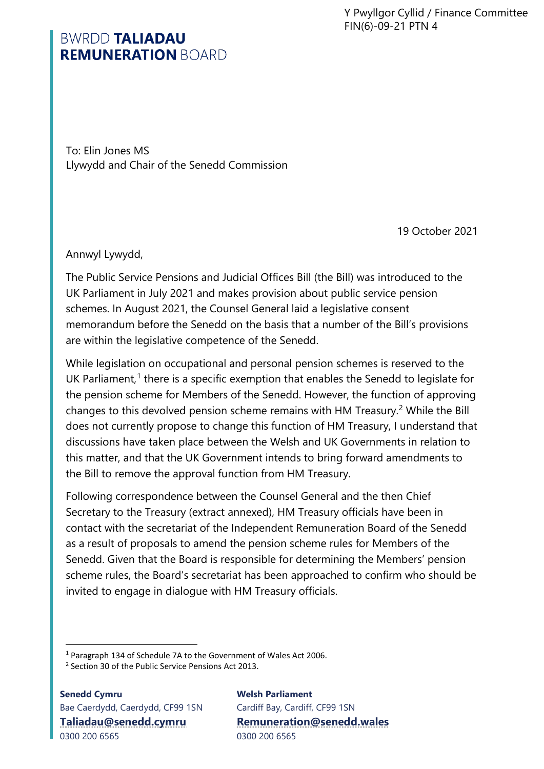Y Pwyllgor Cyllid / Finance Committee FIN(6)-09-21 PTN 4

## **BWRDD TALIADAU REMUNERATION BOARD**

To: Elin Jones MS Llywydd and Chair of the Senedd Commission

19 October 2021

Annwyl Lywydd,

The Public Service Pensions and Judicial Offices Bill (the Bill) was introduced to the UK Parliament in July 2021 and makes provision about public service pension schemes. In August 2021, the Counsel General laid a legislative consent memorandum before the Senedd on the basis that a number of the Bill's provisions are within the legislative competence of the Senedd.

While legislation on occupational and personal pension schemes is reserved to the UK Parliament, $1$  there is a specific exemption that enables the Senedd to legislate for the pension scheme for Members of the Senedd. However, the function of approving changes to this devolved pension scheme remains with HM Treasury.<sup>[2](#page-0-1)</sup> While the Bill does not currently propose to change this function of HM Treasury, I understand that discussions have taken place between the Welsh and UK Governments in relation to this matter, and that the UK Government intends to bring forward amendments to the Bill to remove the approval function from HM Treasury.

Following correspondence between the Counsel General and the then Chief Secretary to the Treasury (extract annexed), HM Treasury officials have been in contact with the secretariat of the Independent Remuneration Board of the Senedd as a result of proposals to amend the pension scheme rules for Members of the Senedd. Given that the Board is responsible for determining the Members' pension scheme rules, the Board's secretariat has been approached to confirm who should be invited to engage in dialogue with HM Treasury officials.

**Senedd Cymru** Bae Caerdydd, Caerdydd, CF99 1SN **[Taliadau@senedd.cymru](mailto:Taliadau@senedd.cymru)** 0300 200 6565

**Welsh Parliament** Cardiff Bay, Cardiff, CF99 1SN **[Remuneration@senedd.wales](mailto:Remuneration@senedd.wales)** 0300 200 6565

<sup>&</sup>lt;sup>1</sup> Paragraph 134 of Schedule 7A to the Government of Wales Act 2006.<br><sup>2</sup> Section 30 of the Public Service Pensions Act 2013

<span id="page-0-1"></span><span id="page-0-0"></span><sup>&</sup>lt;sup>2</sup> Section 30 of the Public Service Pensions Act 2013.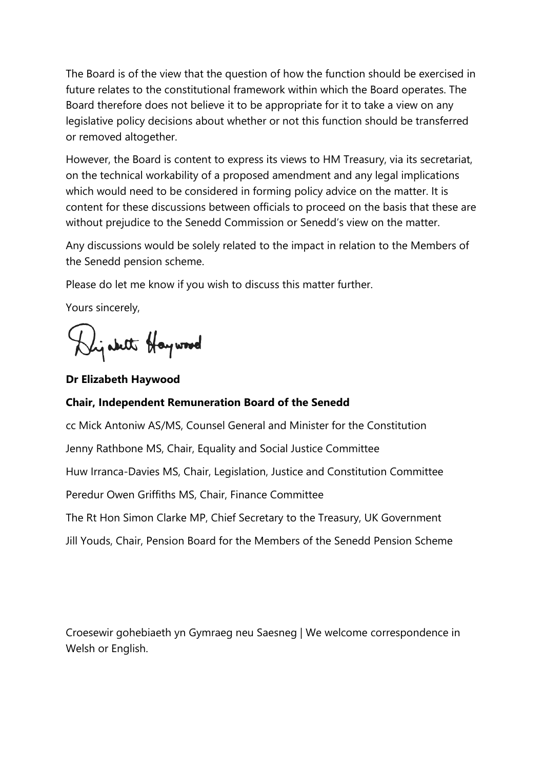The Board is of the view that the question of how the function should be exercised in future relates to the constitutional framework within which the Board operates. The Board therefore does not believe it to be appropriate for it to take a view on any legislative policy decisions about whether or not this function should be transferred or removed altogether.

However, the Board is content to express its views to HM Treasury, via its secretariat, on the technical workability of a proposed amendment and any legal implications which would need to be considered in forming policy advice on the matter. It is content for these discussions between officials to proceed on the basis that these are without prejudice to the Senedd Commission or Senedd's view on the matter.

Any discussions would be solely related to the impact in relation to the Members of the Senedd pension scheme.

Please do let me know if you wish to discuss this matter further.

Yours sincerely,

Dijabet Haywood

**Dr Elizabeth Haywood**

## **Chair, Independent Remuneration Board of the Senedd**

cc Mick Antoniw AS/MS, Counsel General and Minister for the Constitution Jenny Rathbone MS, Chair, Equality and Social Justice Committee Huw Irranca-Davies MS, Chair, Legislation, Justice and Constitution Committee Peredur Owen Griffiths MS, Chair, Finance Committee The Rt Hon Simon Clarke MP, Chief Secretary to the Treasury, UK Government Jill Youds, Chair, Pension Board for the Members of the Senedd Pension Scheme

Croesewir gohebiaeth yn Gymraeg neu Saesneg | We welcome correspondence in Welsh or English.